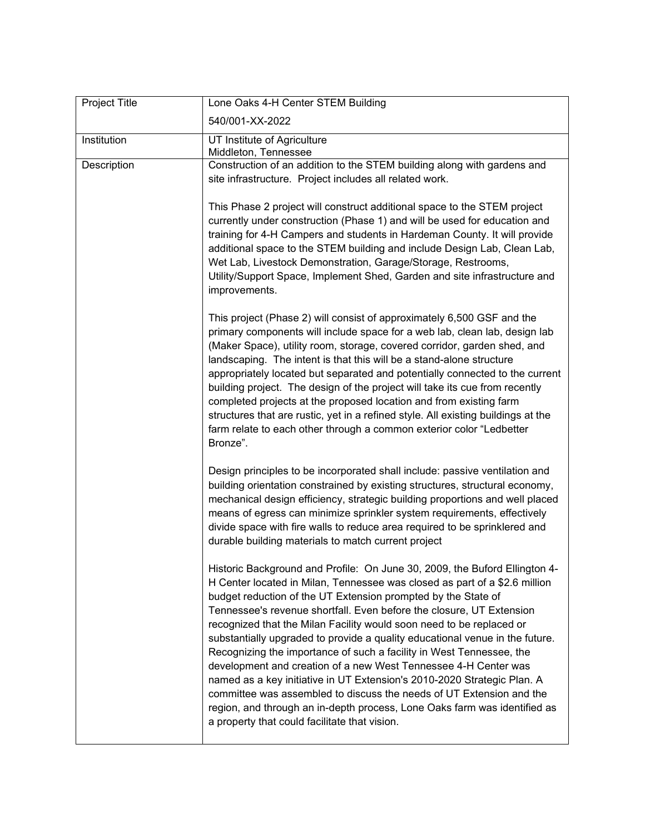| Project Title | Lone Oaks 4-H Center STEM Building                                                                                                                                                                                                                                                                                                                                                                                                                                                                                                                                                                                                                                                                                                                                                                                                                                                    |
|---------------|---------------------------------------------------------------------------------------------------------------------------------------------------------------------------------------------------------------------------------------------------------------------------------------------------------------------------------------------------------------------------------------------------------------------------------------------------------------------------------------------------------------------------------------------------------------------------------------------------------------------------------------------------------------------------------------------------------------------------------------------------------------------------------------------------------------------------------------------------------------------------------------|
|               | 540/001-XX-2022                                                                                                                                                                                                                                                                                                                                                                                                                                                                                                                                                                                                                                                                                                                                                                                                                                                                       |
| Institution   | UT Institute of Agriculture<br>Middleton, Tennessee                                                                                                                                                                                                                                                                                                                                                                                                                                                                                                                                                                                                                                                                                                                                                                                                                                   |
| Description   | Construction of an addition to the STEM building along with gardens and<br>site infrastructure. Project includes all related work.                                                                                                                                                                                                                                                                                                                                                                                                                                                                                                                                                                                                                                                                                                                                                    |
|               | This Phase 2 project will construct additional space to the STEM project<br>currently under construction (Phase 1) and will be used for education and<br>training for 4-H Campers and students in Hardeman County. It will provide<br>additional space to the STEM building and include Design Lab, Clean Lab,<br>Wet Lab, Livestock Demonstration, Garage/Storage, Restrooms,<br>Utility/Support Space, Implement Shed, Garden and site infrastructure and<br>improvements.                                                                                                                                                                                                                                                                                                                                                                                                          |
|               | This project (Phase 2) will consist of approximately 6,500 GSF and the<br>primary components will include space for a web lab, clean lab, design lab<br>(Maker Space), utility room, storage, covered corridor, garden shed, and<br>landscaping. The intent is that this will be a stand-alone structure<br>appropriately located but separated and potentially connected to the current<br>building project. The design of the project will take its cue from recently<br>completed projects at the proposed location and from existing farm<br>structures that are rustic, yet in a refined style. All existing buildings at the<br>farm relate to each other through a common exterior color "Ledbetter<br>Bronze".                                                                                                                                                                |
|               | Design principles to be incorporated shall include: passive ventilation and<br>building orientation constrained by existing structures, structural economy,<br>mechanical design efficiency, strategic building proportions and well placed<br>means of egress can minimize sprinkler system requirements, effectively<br>divide space with fire walls to reduce area required to be sprinklered and<br>durable building materials to match current project                                                                                                                                                                                                                                                                                                                                                                                                                           |
|               | Historic Background and Profile: On June 30, 2009, the Buford Ellington 4-<br>H Center located in Milan, Tennessee was closed as part of a \$2.6 million<br>budget reduction of the UT Extension prompted by the State of<br>Tennessee's revenue shortfall. Even before the closure, UT Extension<br>recognized that the Milan Facility would soon need to be replaced or<br>substantially upgraded to provide a quality educational venue in the future.<br>Recognizing the importance of such a facility in West Tennessee, the<br>development and creation of a new West Tennessee 4-H Center was<br>named as a key initiative in UT Extension's 2010-2020 Strategic Plan. A<br>committee was assembled to discuss the needs of UT Extension and the<br>region, and through an in-depth process, Lone Oaks farm was identified as<br>a property that could facilitate that vision. |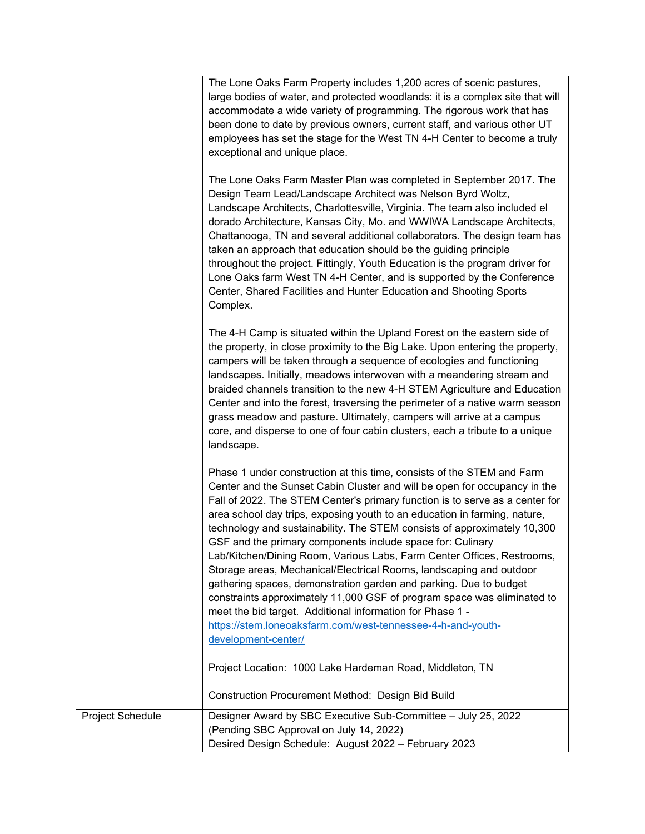|                  | The Lone Oaks Farm Property includes 1,200 acres of scenic pastures,<br>large bodies of water, and protected woodlands: it is a complex site that will<br>accommodate a wide variety of programming. The rigorous work that has<br>been done to date by previous owners, current staff, and various other UT<br>employees has set the stage for the West TN 4-H Center to become a truly<br>exceptional and unique place.<br>The Lone Oaks Farm Master Plan was completed in September 2017. The<br>Design Team Lead/Landscape Architect was Nelson Byrd Woltz,<br>Landscape Architects, Charlottesville, Virginia. The team also included el<br>dorado Architecture, Kansas City, Mo. and WWIWA Landscape Architects,<br>Chattanooga, TN and several additional collaborators. The design team has<br>taken an approach that education should be the guiding principle<br>throughout the project. Fittingly, Youth Education is the program driver for<br>Lone Oaks farm West TN 4-H Center, and is supported by the Conference<br>Center, Shared Facilities and Hunter Education and Shooting Sports<br>Complex. |
|------------------|--------------------------------------------------------------------------------------------------------------------------------------------------------------------------------------------------------------------------------------------------------------------------------------------------------------------------------------------------------------------------------------------------------------------------------------------------------------------------------------------------------------------------------------------------------------------------------------------------------------------------------------------------------------------------------------------------------------------------------------------------------------------------------------------------------------------------------------------------------------------------------------------------------------------------------------------------------------------------------------------------------------------------------------------------------------------------------------------------------------------|
|                  | The 4-H Camp is situated within the Upland Forest on the eastern side of<br>the property, in close proximity to the Big Lake. Upon entering the property,<br>campers will be taken through a sequence of ecologies and functioning<br>landscapes. Initially, meadows interwoven with a meandering stream and<br>braided channels transition to the new 4-H STEM Agriculture and Education<br>Center and into the forest, traversing the perimeter of a native warm season<br>grass meadow and pasture. Ultimately, campers will arrive at a campus<br>core, and disperse to one of four cabin clusters, each a tribute to a unique<br>landscape.                                                                                                                                                                                                                                                                                                                                                                                                                                                                   |
|                  | Phase 1 under construction at this time, consists of the STEM and Farm<br>Center and the Sunset Cabin Cluster and will be open for occupancy in the<br>Fall of 2022. The STEM Center's primary function is to serve as a center for<br>area school day trips, exposing youth to an education in farming, nature,<br>technology and sustainability. The STEM consists of approximately 10,300<br>GSF and the primary components include space for: Culinary<br>Lab/Kitchen/Dining Room, Various Labs, Farm Center Offices, Restrooms,<br>Storage areas, Mechanical/Electrical Rooms, landscaping and outdoor<br>gathering spaces, demonstration garden and parking. Due to budget<br>constraints approximately 11,000 GSF of program space was eliminated to<br>meet the bid target. Additional information for Phase 1 -<br>https://stem.loneoaksfarm.com/west-tennessee-4-h-and-youth-<br>development-center/<br>Project Location: 1000 Lake Hardeman Road, Middleton, TN                                                                                                                                         |
|                  | Construction Procurement Method: Design Bid Build                                                                                                                                                                                                                                                                                                                                                                                                                                                                                                                                                                                                                                                                                                                                                                                                                                                                                                                                                                                                                                                                  |
| Project Schedule | Designer Award by SBC Executive Sub-Committee - July 25, 2022                                                                                                                                                                                                                                                                                                                                                                                                                                                                                                                                                                                                                                                                                                                                                                                                                                                                                                                                                                                                                                                      |
|                  | (Pending SBC Approval on July 14, 2022)<br>Desired Design Schedule: August 2022 - February 2023                                                                                                                                                                                                                                                                                                                                                                                                                                                                                                                                                                                                                                                                                                                                                                                                                                                                                                                                                                                                                    |